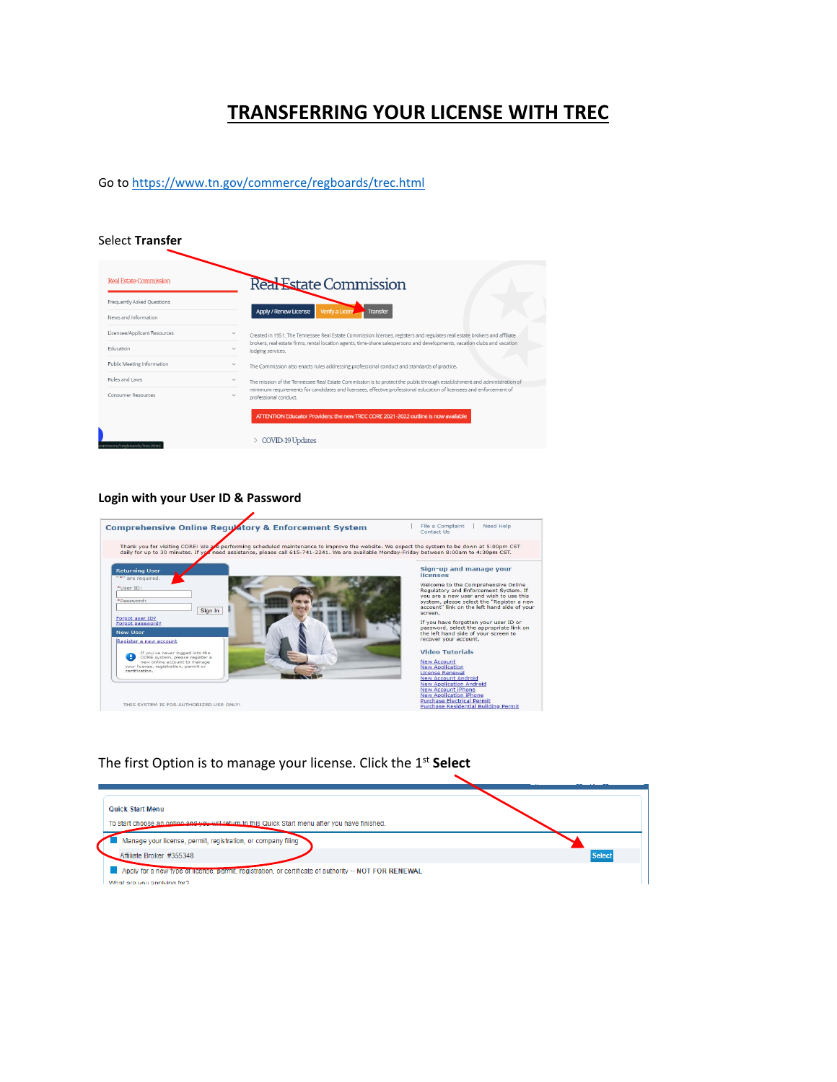## **TRANSFERRING YOUR LICENSE WITH TREC**

Go t[o https://www.tn.gov/commerce/regboards/trec.html](https://www.tn.gov/commerce/regboards/trec.html)

#### Select **Transfer**

| Real Estate Commission       |              | Real Estate Commission                                                                                                                         |
|------------------------------|--------------|------------------------------------------------------------------------------------------------------------------------------------------------|
| Frequently Asked Ouestions   |              |                                                                                                                                                |
| News and Information         |              | Apply / Renew License<br>Verify a Licens<br><b>Transfer</b>                                                                                    |
| Licensee/Applicant Resources |              | Created in 1951, The Tennessee Real Estate Commission licenses, registers and regulates real estate brokers and affiliate                      |
| Education                    | $\checkmark$ | brokers, real estate firms, rental location agents, time-share salespersons and developments, vacation clubs and vacation<br>lodging services. |
| Public Meeting Information   | $\checkmark$ | The Commission also enacts rules addressing professional conduct and standards of practice.                                                    |
| Rules and Laws               | $\checkmark$ | The mission of the Tennessee Real Estate Commission is to protect the public through establishment and administration of                       |
| Consumer Resources           | $\checkmark$ | minimum requirements for candidates and licensees, effective professional education of licensees and enforcement of<br>professional conduct.   |
|                              |              | ATTENTION Educator Providers: the new TREC CORE 2021-2022 outline is now available                                                             |
|                              |              |                                                                                                                                                |

#### **Login with your User ID & Password**



#### The first Option is to manage your license. Click the 1st **Select**

| <b>Quick Start Menu</b><br>To start choose an option and you will return to this Quick Start menu after you have finished. |               |
|----------------------------------------------------------------------------------------------------------------------------|---------------|
| Manage your license, permit, registration, or company filing                                                               |               |
| Affiliate Broker #355348                                                                                                   | <b>Select</b> |
| Apply for a new type or ncense, permit, registration, or certificate of authority -- NOT FOR RENEWAL                       |               |
| What are you applying for?                                                                                                 |               |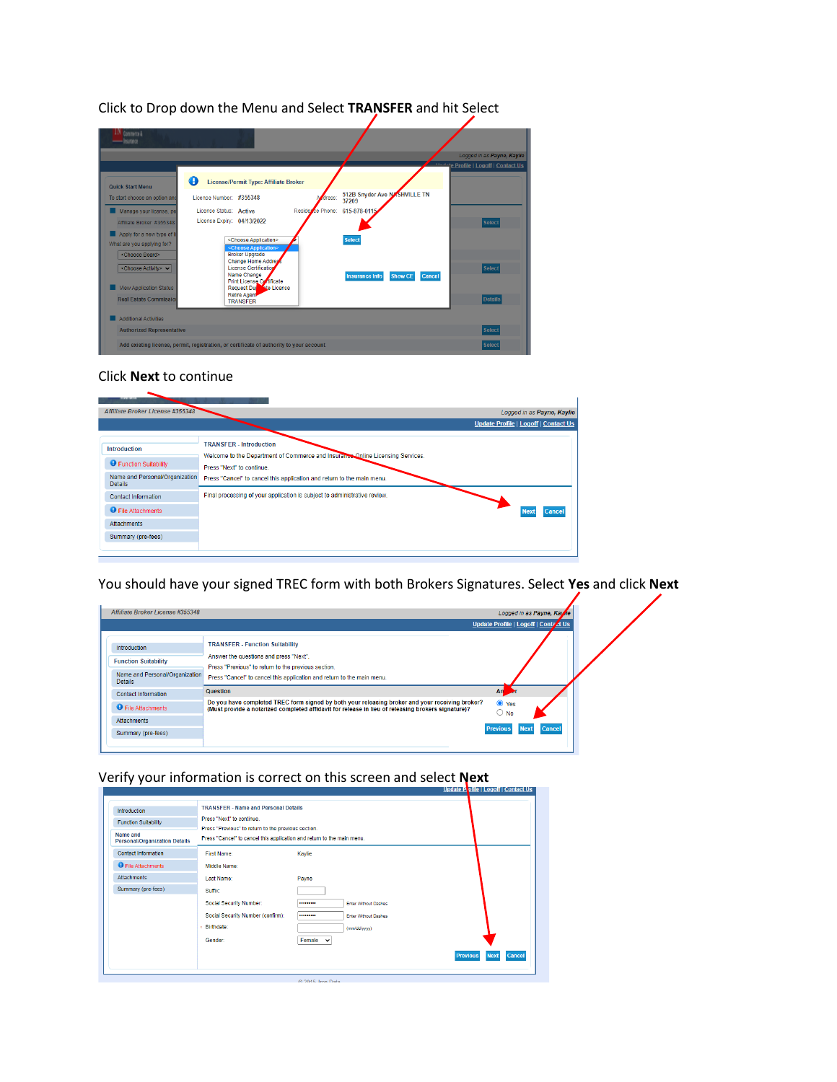| Commerce &<br><b>Insurance</b>                                                                                                                                                                                                                                                                                     |                                                                                                                                                                                                                                                                                                                                                                                                                |                            |                                                                                                 |                          |                                                                                                           |
|--------------------------------------------------------------------------------------------------------------------------------------------------------------------------------------------------------------------------------------------------------------------------------------------------------------------|----------------------------------------------------------------------------------------------------------------------------------------------------------------------------------------------------------------------------------------------------------------------------------------------------------------------------------------------------------------------------------------------------------------|----------------------------|-------------------------------------------------------------------------------------------------|--------------------------|-----------------------------------------------------------------------------------------------------------|
| <b>Quick Start Menu</b><br>To start choose an option and<br>Manage your license, pe<br>Affiliate Broker #355348<br>Apply for a new type of II<br>What are you applying for?<br><choose board=""><br/><choose activity=""> v<br/><b>View Application Status</b><br/><b>Real Estate Commission</b></choose></choose> | A<br>License/Permit Type: Affiliate Broker<br>License Number: #355348<br>License Status: Active<br>License Expiry: 04/13/2022<br><choose application=""><br/><choose application=""><br/><b>Broker Upgrade</b><br/><b>Change Home Addres</b><br/><b>License Certification</b><br/>Name Change<br/>Print License Contificate<br/>Request Durante License<br/>Retire Agent<br/><b>TRANSFER</b></choose></choose> | dress:<br>Residerce Phone: | 512B Snyder Ave NASHVILLE TN<br>37209<br>615-878-0115<br><b>Select</b><br><b>Insurance Info</b> | <b>Show CE</b><br>Cancel | Logged in as Payne, Kaylie<br>11-1-te Profile   Logoff   Contact Us<br>Select<br>Select<br><b>Details</b> |
| <b>Additional Activities</b><br><b>Authorized Representative</b>                                                                                                                                                                                                                                                   |                                                                                                                                                                                                                                                                                                                                                                                                                |                            |                                                                                                 |                          | <b>Select</b>                                                                                             |
|                                                                                                                                                                                                                                                                                                                    | Add existing license, permit, registration, or certificate of authority to your account                                                                                                                                                                                                                                                                                                                        |                            |                                                                                                 |                          | <b>Select</b>                                                                                             |

Click to Drop down the Menu and Select **TRANSFER** and hit Select

#### Click **Next** to continue

| Affiliate Broker License #355348                 | Logged in as Payne, Kaylie                                                                                       |
|--------------------------------------------------|------------------------------------------------------------------------------------------------------------------|
|                                                  | Update Profile   Logoff   Contact Us                                                                             |
| <b>Introduction</b>                              | <b>TRANSFER - Introduction</b><br>Welcome to the Department of Commerce and Insurance Online Licensing Services. |
| <b>O</b> Function Suitability                    | Press "Next" to continue.                                                                                        |
| Name and Personal/Organization<br><b>Details</b> | Press "Cancel" to cancel this application and return to the main menu.                                           |
| <b>Contact Information</b>                       | Final processing of your application is subject to administrative review.                                        |
| <b>O</b> File Attachments                        | Cance<br>Nex                                                                                                     |
| Attachments                                      |                                                                                                                  |
| Summary (pre-fees)                               |                                                                                                                  |
|                                                  |                                                                                                                  |

You should have your signed TREC form with both Brokers Signatures. Select **Yes** and click **Next**

| Affiliate Broker License #355348                 |                                                                                                                                                                                                       | Logged in as Payne, Kayne                       |  |
|--------------------------------------------------|-------------------------------------------------------------------------------------------------------------------------------------------------------------------------------------------------------|-------------------------------------------------|--|
|                                                  |                                                                                                                                                                                                       | Update Profile   Logoff   Conta dt Us           |  |
| Introduction                                     | <b>TRANSFER - Function Suitability</b>                                                                                                                                                                |                                                 |  |
| <b>Function Suitability</b>                      | Answer the questions and press "Next".<br>Press "Previous" to return to the previous section.                                                                                                         |                                                 |  |
| Name and Personal/Organization<br><b>Details</b> | Press "Cancel" to cancel this application and return to the main menu.                                                                                                                                |                                                 |  |
| <b>Contact Information</b>                       | <b>Question</b>                                                                                                                                                                                       | An                                              |  |
| <b>O</b> File Attachments                        | Do you have completed TREC form signed by both your releasing broker and your receiving broker?<br>(Must provide a notarized completed affidavit for release in lieu of releasing brokers signature)? | $\bullet$ Yes<br>$\circ$ No                     |  |
| Attachments                                      |                                                                                                                                                                                                       |                                                 |  |
| Summary (pre-fees)                               |                                                                                                                                                                                                       | <b>Cancel</b><br><b>Previous</b><br><b>Next</b> |  |
|                                                  |                                                                                                                                                                                                       |                                                 |  |

## Verify your information is correct on this screen and select **Next**

| Introduction                                     | <b>TRANSFER - Name and Personal Details</b>                                      |               |                             |                 |                       |
|--------------------------------------------------|----------------------------------------------------------------------------------|---------------|-----------------------------|-----------------|-----------------------|
| <b>Function Suitability</b>                      | Press "Next" to continue.<br>Press "Previous" to return to the previous section. |               |                             |                 |                       |
| Name and<br><b>Personal/Organization Details</b> | Press "Cancel" to cancel this application and return to the main menu.           |               |                             |                 |                       |
| <b>Contact Information</b>                       | First Name:                                                                      | Kaylie        |                             |                 |                       |
| <b>O</b> File Attachments                        | Middle Name:                                                                     |               |                             |                 |                       |
| <b>Attachments</b>                               | Last Name:                                                                       | Payne         |                             |                 |                       |
| Summary (pre-fees)                               | Suffix:                                                                          |               |                             |                 |                       |
|                                                  | Social Security Number:                                                          |               | <b>Enter Without Dashes</b> |                 |                       |
|                                                  | Social Security Number (confirm):                                                | ---------     | <b>Foter Without Dashes</b> |                 |                       |
|                                                  | * Birthdate:                                                                     |               | (mm/dd/yyyy)                |                 |                       |
|                                                  | <b>Gender:</b>                                                                   | Female $\vee$ |                             |                 |                       |
|                                                  |                                                                                  |               |                             | <b>Previous</b> | Cancel<br><b>Next</b> |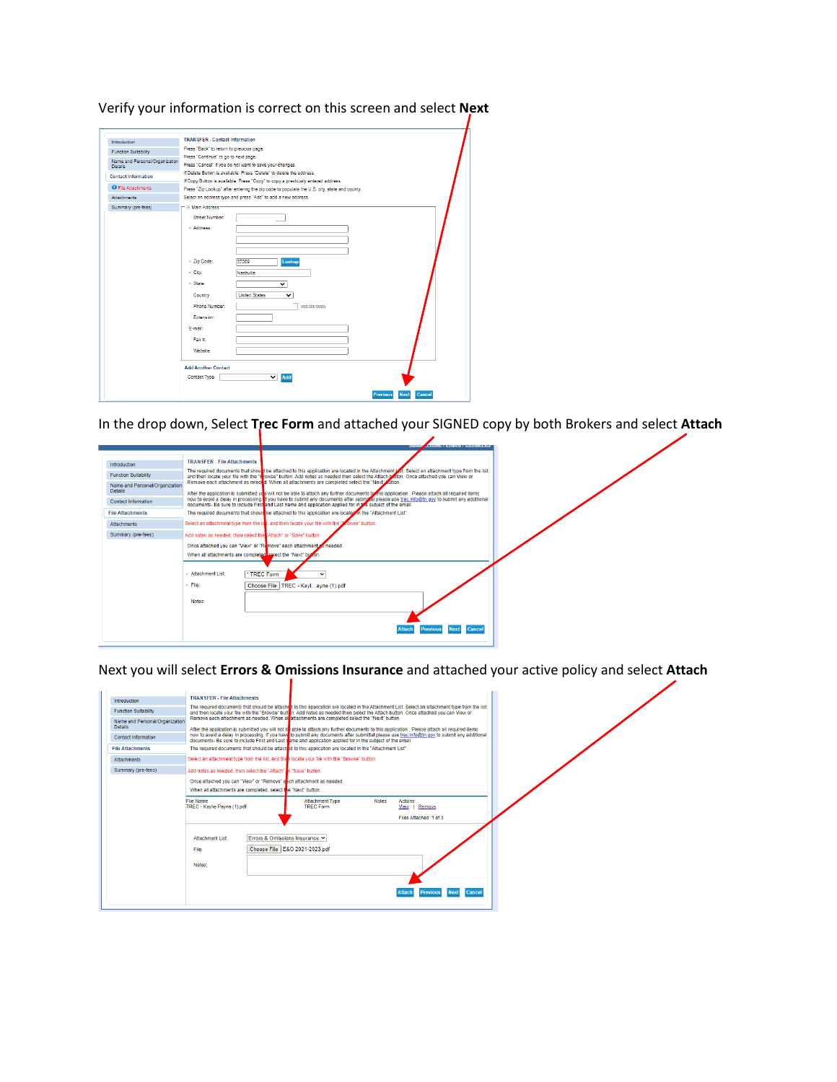Verify your information is correct on this screen and select **Next**

| Introduction                                     | <b>TRANSFER - Contact Information</b>                                                                                                                   |  |
|--------------------------------------------------|---------------------------------------------------------------------------------------------------------------------------------------------------------|--|
| <b>Function Suitability</b>                      | Press "Back" to return to previous page.                                                                                                                |  |
| Name and Personal/Organization<br><b>Details</b> | Press "Continue" to go to next page.<br>Press "Cancel" if you do not want to save your changes.                                                         |  |
| <b>Contact Information</b>                       | If Delete Button is available. Press "Delete" to delete the address.<br>If Copy Button is available. Press "Copy" to copy a previously entered address. |  |
| <b>O</b> File Attachments                        | Press "Zip Lookup" after entering the zip code to populate the U.S. city, state and county.                                                             |  |
| <b>Attachments</b>                               | Select an address type and press "Add" to add a new address.                                                                                            |  |
| Summary (pre-fees)                               | - Fi Main Address-<br>Street Number:<br>- Address:                                                                                                      |  |
|                                                  | - Zip Code:<br>37209<br>Lookup<br>- City:<br>Nashville                                                                                                  |  |
|                                                  | - State:<br>$\overline{\mathbf{v}}$<br><b>United States</b><br>Country:<br>◡<br><b>Phone Number:</b><br>(999-999-9999)                                  |  |
|                                                  | Extension:<br>E-mail:<br>Fax #                                                                                                                          |  |
|                                                  | Website:                                                                                                                                                |  |
|                                                  | <b>Add Another Contact</b><br>Contact Type:<br>$\check{ }$<br>Add                                                                                       |  |

In the drop down, Select **Trec Form** and attached your SIGNED copy by both Brokers and select **Attach**

|                                                  |                                                                | <b>MARINE ANIMAL PROPERTY AND INTERESTS</b>                                                                                                                                                                                                                                           |
|--------------------------------------------------|----------------------------------------------------------------|---------------------------------------------------------------------------------------------------------------------------------------------------------------------------------------------------------------------------------------------------------------------------------------|
|                                                  |                                                                |                                                                                                                                                                                                                                                                                       |
| Introduction                                     | <b>TRANSFER - File Attachments</b>                             |                                                                                                                                                                                                                                                                                       |
| <b>Function Suitability</b>                      |                                                                | The required documents that should be attached to this application are located in the Attachment UCI. Select an attachment type from the list<br>and then locate your file with the "Erowse" button. Add notes as needed then select the Attach button. Once attached you can View or |
| Name and Personal/Organization<br><b>Details</b> |                                                                | Remove each attachment as needed, When all attachments are completed select the "Next" button.<br>After the application is submitted you will not be able to attach any further documents to this application. Please attach all required items                                       |
| <b>Contact Information</b>                       |                                                                | now to avoid a delay in processing. If you have to submit any documents after submit of please use trec.info@tn.gov to submit any additional<br>documents- Be sure to include First and Last name and application applied for in the subject of the email.                            |
| <b>File Attachments</b>                          |                                                                | The required documents that should be attached to this application are located in the "Attachment List".                                                                                                                                                                              |
| <b>Attachments</b>                               |                                                                | Select an attachment type from the list, and then locate your file with the "Browse" button.                                                                                                                                                                                          |
| Summary (pre-fees)                               | Add notes as needed, then select the Attach" or "Save" button. |                                                                                                                                                                                                                                                                                       |
|                                                  |                                                                | Once attached you can "View" or "Remove" each attachment as needed.                                                                                                                                                                                                                   |
|                                                  | When all attachments are completed select the "Next" but on.   |                                                                                                                                                                                                                                                                                       |
|                                                  | Attachment List:                                               | * TREC Form                                                                                                                                                                                                                                                                           |
|                                                  | » File:                                                        | Choose File   TREC - Kaylayne (1).pdf                                                                                                                                                                                                                                                 |
|                                                  | Notes:                                                         |                                                                                                                                                                                                                                                                                       |
|                                                  |                                                                |                                                                                                                                                                                                                                                                                       |
|                                                  |                                                                | Next Cancel<br><b>Previous</b>                                                                                                                                                                                                                                                        |

Next you will select **Errors & Omissions Insurance** and attached your active policy and select **Attach**

| Introduction                   | <b>TRANSFER - File Attachments</b>                                                                                                                                                                                                                                                            |                                            |              |                                |  |
|--------------------------------|-----------------------------------------------------------------------------------------------------------------------------------------------------------------------------------------------------------------------------------------------------------------------------------------------|--------------------------------------------|--------------|--------------------------------|--|
| <b>Function Suitability</b>    | The required documents that should be attached to this application are located in the Attachment List. Select an attachment type from the list<br>and then locate your file with the "Browse" button. Add notes as needed then select the Attach button. Once attached you can View or        |                                            |              |                                |  |
| Name and Personal/Organization | Remove each attachment as needed. When all attachments are completed select the "Next" button.                                                                                                                                                                                                |                                            |              |                                |  |
| <b>Details</b>                 | After the application is submitted you will not be able to attach any further documents to this application. Please attach all required items<br>now to avoid a delay in processing. If you have to submit any documents after submittal please use trec.info@tn.gov to submit any additional |                                            |              |                                |  |
| Contact Information            | documents- Be sure to include First and Last rane and application applied for in the subject of the email.                                                                                                                                                                                    |                                            |              |                                |  |
| <b>File Attachments</b>        | The required documents that should be attached to this application are located in the "Attachment List".                                                                                                                                                                                      |                                            |              |                                |  |
| <b>Attachments</b>             | Select an attachment type from the list, and then locate your file with the "Browse" button.                                                                                                                                                                                                  |                                            |              |                                |  |
| Summary (pre-fees)             | Add notes as needed, then select the "Attach" r "Save" button.                                                                                                                                                                                                                                |                                            |              |                                |  |
|                                | Once attached you can "View" or "Remove" ench attachment as needed.                                                                                                                                                                                                                           |                                            |              |                                |  |
|                                | When all attachments are completed, select the "Next" button,                                                                                                                                                                                                                                 |                                            |              |                                |  |
|                                | File Name<br>TREC - Kavlie Payne (1) pdf                                                                                                                                                                                                                                                      | <b>Attachment Type</b><br><b>TREC Form</b> | <b>Notes</b> | Actions<br>View   Remove       |  |
|                                |                                                                                                                                                                                                                                                                                               |                                            |              | Files Attached 1 of 3          |  |
|                                | Errors & Omissions Insurance V<br><b>Attachment List:</b><br>File:                                                                                                                                                                                                                            | Choose File E&O 2021-2023.pdf              |              |                                |  |
|                                | Notes:                                                                                                                                                                                                                                                                                        |                                            |              |                                |  |
|                                |                                                                                                                                                                                                                                                                                               |                                            |              | Next Cancel<br><b>Previous</b> |  |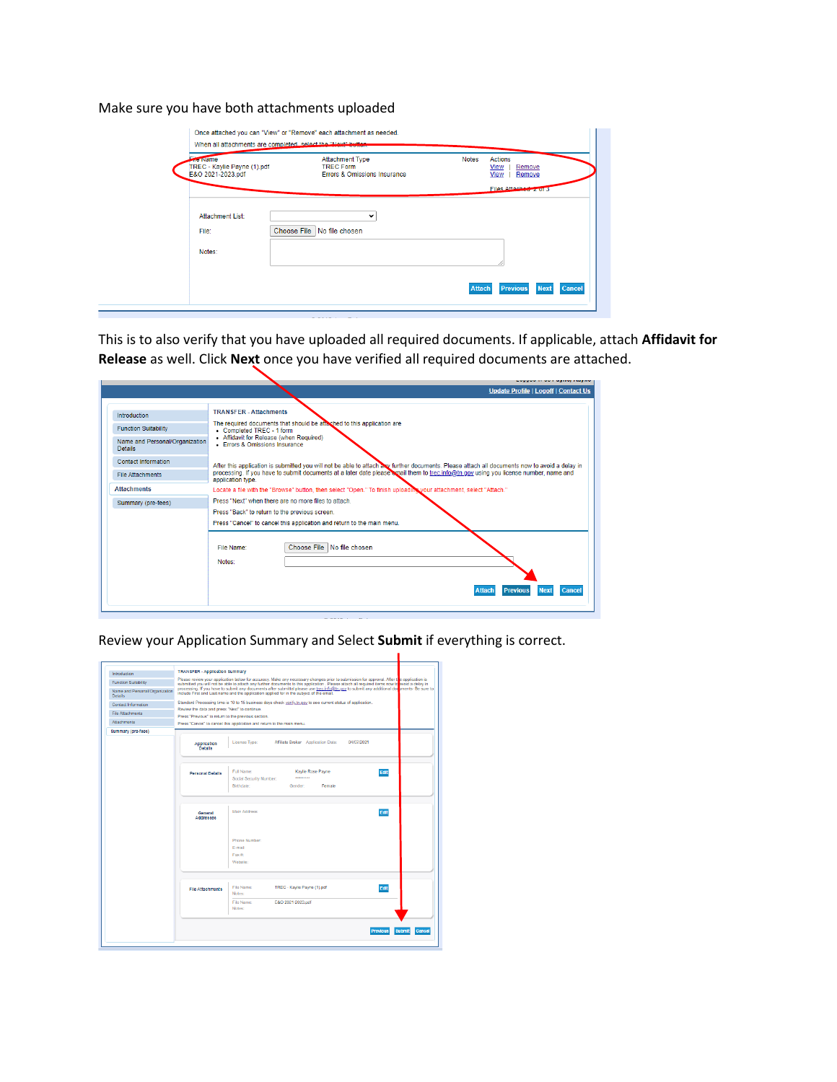Make sure you have both attachments uploaded

| <b>The Name</b><br>TREC - Kaylie Payne (1).pdf<br>E&O 2021-2023.pdf | <b>Attachment Type</b><br><b>TREC Form</b><br><b>Errors &amp; Omissions Insurance</b> | Actions<br><b>Notes</b><br><b>View</b><br>Remove<br>View<br>Remove |
|---------------------------------------------------------------------|---------------------------------------------------------------------------------------|--------------------------------------------------------------------|
|                                                                     |                                                                                       | Files Attached 2 of 3                                              |
|                                                                     |                                                                                       |                                                                    |
| <b>Attachment List:</b>                                             | $\check{ }$                                                                           |                                                                    |
| File:                                                               | Choose File   No file chosen                                                          |                                                                    |
|                                                                     |                                                                                       |                                                                    |
| Notes:                                                              |                                                                                       |                                                                    |
|                                                                     |                                                                                       |                                                                    |
|                                                                     |                                                                                       |                                                                    |

This is to also verify that you have uploaded all required documents. If applicable, attach **Affidavit for Release** as well. Click **Next** once you have verified all required documents are attached.

|                                                  | a wygona na www.wyanej chagare                                                                                                                            |
|--------------------------------------------------|-----------------------------------------------------------------------------------------------------------------------------------------------------------|
|                                                  | <b>Update Profile   Logoff   Contact Us</b>                                                                                                               |
| Introduction                                     | <b>TRANSFER - Attachments</b>                                                                                                                             |
| <b>Function Suitability</b>                      | The required documents that should be attached to this application are<br>• Completed TREC - 1 form                                                       |
| Name and Personal/Organization<br><b>Details</b> | • Affidavit for Release (when Required)<br><b>Errors &amp; Omissions Insurance</b>                                                                        |
| <b>Contact Information</b>                       | After this application is submitted you will not be able to attach and further documents. Please attach all documents now to avoid a delay in             |
| <b>File Attachments</b>                          | processing. If you have to submit documents at a later date please cmail them to trec.info@tn.gov using you license number, name and<br>application type. |
| <b>Attachments</b>                               | Locate a file with the "Browse" button, then select "Open." To finish uploading your attachment, select "Attach."                                         |
| Summary (pre-fees)                               | Press "Next" when there are no more files to attach.                                                                                                      |
|                                                  | Press "Back" to return to the previous screen.                                                                                                            |
|                                                  | Press "Cancel" to cancel this application and return to the main menu.                                                                                    |
|                                                  | Choose File No file chosen<br>File Name:<br>Notes:                                                                                                        |
|                                                  | Cancel<br><b>Attach</b><br><b>Previous</b><br><b>Next</b>                                                                                                 |

Review your Application Summary and Select **Submit** if everything is correct.

| Introduction                                     | <b>TRANSFER - Application Summary</b>                                                                                                                                                                                                                                                     |                                                                                                                                                                                                                                        |  |  |  |
|--------------------------------------------------|-------------------------------------------------------------------------------------------------------------------------------------------------------------------------------------------------------------------------------------------------------------------------------------------|----------------------------------------------------------------------------------------------------------------------------------------------------------------------------------------------------------------------------------------|--|--|--|
| <b>Function Suitability</b>                      | Please review your application below for accuracy. Make any necessary changes prior to submission for approval. After the application is<br>submitted you will not be able to attach any further documents to this application . Please attach all required items now to svoid a delay in |                                                                                                                                                                                                                                        |  |  |  |
| Name and Personal/Organization<br><b>Details</b> |                                                                                                                                                                                                                                                                                           | processing. If you have to submit any documents after submittal please use trec.info@tn.gov to submit any additional documents. Be sure to<br>include First and Last name and the application applied for in the subject of the email. |  |  |  |
| Contact Information                              |                                                                                                                                                                                                                                                                                           | Standard Processing time is 10 to 15 business days check verify, tn.gov to see current status of application.                                                                                                                          |  |  |  |
| <b>File Attachments</b>                          | Review the data and press "Next" to continue.<br>Press "Previous" to return to the previous section.                                                                                                                                                                                      |                                                                                                                                                                                                                                        |  |  |  |
| <b>Attachments</b>                               |                                                                                                                                                                                                                                                                                           |                                                                                                                                                                                                                                        |  |  |  |
|                                                  |                                                                                                                                                                                                                                                                                           | Press "Cancel" to cancel this application and return to the main menu.                                                                                                                                                                 |  |  |  |
| Summary (pre-feee)                               |                                                                                                                                                                                                                                                                                           |                                                                                                                                                                                                                                        |  |  |  |
|                                                  | Application<br>Details                                                                                                                                                                                                                                                                    | License Type:<br>Affiliate Broker Application Date:<br>04/07/2021                                                                                                                                                                      |  |  |  |
|                                                  |                                                                                                                                                                                                                                                                                           |                                                                                                                                                                                                                                        |  |  |  |
|                                                  | <b>Personal Details</b>                                                                                                                                                                                                                                                                   | Full Name:<br>Kaylie Rose Payne<br>Edit<br><br>Social Security Number:<br><b>Birthdate:</b><br>Gender:<br>Female                                                                                                                       |  |  |  |
|                                                  | General<br><b>Addresses</b>                                                                                                                                                                                                                                                               | Main Address<br>Edit                                                                                                                                                                                                                   |  |  |  |
|                                                  |                                                                                                                                                                                                                                                                                           | Phone Number:<br>E-mail:<br>Fax #<br>Website:                                                                                                                                                                                          |  |  |  |
|                                                  | <b>File Attachments</b>                                                                                                                                                                                                                                                                   | File Name:<br>TREC - Kaylie Payne (1).pdf<br>Edit<br>Notes:                                                                                                                                                                            |  |  |  |
|                                                  |                                                                                                                                                                                                                                                                                           | File Name:<br>E&O 2021-2023.pdf<br>Notes:                                                                                                                                                                                              |  |  |  |
|                                                  |                                                                                                                                                                                                                                                                                           | <b>Cancel</b><br>Previous<br>Submit                                                                                                                                                                                                    |  |  |  |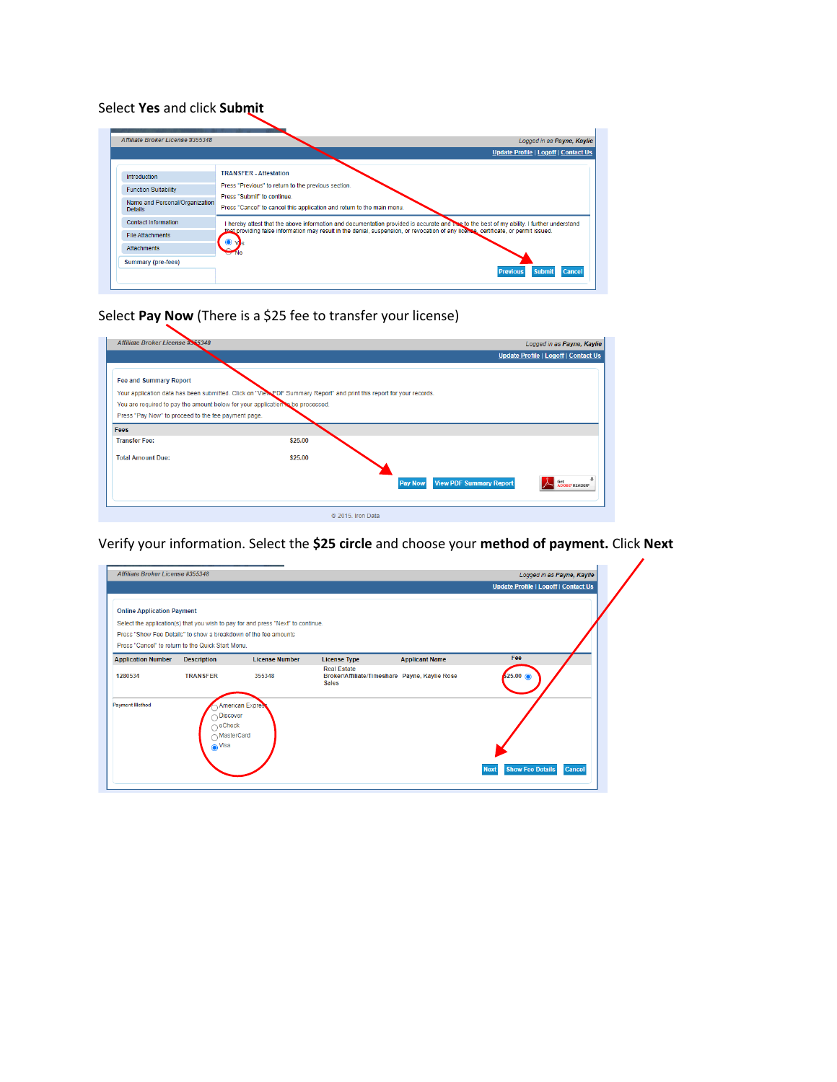## Select **Yes** and click **Submit**

|                                                  | Logged in as Payne, Kaylie                                                                                                                |
|--------------------------------------------------|-------------------------------------------------------------------------------------------------------------------------------------------|
|                                                  | <b>Update Profile   Logoff   Contact Us</b>                                                                                               |
| Introduction                                     | <b>TRANSFER</b> - Attestation                                                                                                             |
| <b>Function Suitability</b>                      | Press "Previous" to return to the previous section.                                                                                       |
| Name and Personal/Organization<br><b>Details</b> | Press "Submit" to continue.<br>Press "Cancel" to cancel this application and return to the main menu.                                     |
| <b>Contact Information</b>                       | I hereby attest that the above information and documentation provided is accurate and the to the best of my ability. I further understand |
| <b>File Attachments</b>                          | that providing false information may result in the denial, suspension, or revocation of any license, certificate, or permit issued.       |
| <b>Attachments</b>                               |                                                                                                                                           |
| Summary (pre-fees)                               |                                                                                                                                           |

# Select **Pay Now** (There is a \$25 fee to transfer your license)

| Affiliate Broker License #365348                                               |                                                                                                                      | Logged in as Payne, Kaylie                       |
|--------------------------------------------------------------------------------|----------------------------------------------------------------------------------------------------------------------|--------------------------------------------------|
|                                                                                |                                                                                                                      | <b>Update Profile   Logoff   Contact Us</b>      |
| <b>Fee and Summary Report</b>                                                  |                                                                                                                      |                                                  |
|                                                                                | Your application data has been submitted. Click on "View PDF Summary Report" and print this report for your records. |                                                  |
| You are required to pay the amount below for your application to be processed. |                                                                                                                      |                                                  |
| Press "Pay Now" to proceed to the fee payment page.                            |                                                                                                                      |                                                  |
| Fees                                                                           |                                                                                                                      |                                                  |
| <b>Transfer Fee:</b>                                                           | \$25.00                                                                                                              |                                                  |
| <b>Total Amount Due:</b>                                                       | \$25.00                                                                                                              |                                                  |
|                                                                                |                                                                                                                      |                                                  |
|                                                                                |                                                                                                                      | <b>View PDF Summary Report</b><br><b>Pay Now</b> |
|                                                                                |                                                                                                                      | <b>IDOBE* READER*</b>                            |
|                                                                                |                                                                                                                      |                                                  |
|                                                                                | © 2015. Iron Data                                                                                                    |                                                  |

Verify your information. Select the **\$25 circle** and choose your **method of payment.** Click **Next**

| <b>Online Application Payment</b>    | Select the application(s) that you wish to pay for and press "Next" to continue.<br>Press "Show Fee Details" to show a breakdown of the fee amounts |                                 |                                                                                                            |                       | Update Profile   Logoff   Contact Us |
|--------------------------------------|-----------------------------------------------------------------------------------------------------------------------------------------------------|---------------------------------|------------------------------------------------------------------------------------------------------------|-----------------------|--------------------------------------|
|                                      | Press "Cancel" to return to the Quick Start Menu.                                                                                                   |                                 |                                                                                                            |                       |                                      |
| <b>Application Number</b><br>1280534 | <b>Description</b><br><b>TRANSFER</b>                                                                                                               | <b>License Number</b><br>355348 | <b>License Type</b><br><b>Real Estate</b><br>Broker/Affiliate/Timeshare Payne, Kaylie Rose<br><b>Sales</b> | <b>Applicant Name</b> | Fee<br>$$25.00$ $@$                  |
| <b>Payment Method</b>                | <b>American Expres</b><br><b>Discover</b><br>eCheck<br>∩MasterCard<br>$\odot$ Visa                                                                  |                                 |                                                                                                            |                       |                                      |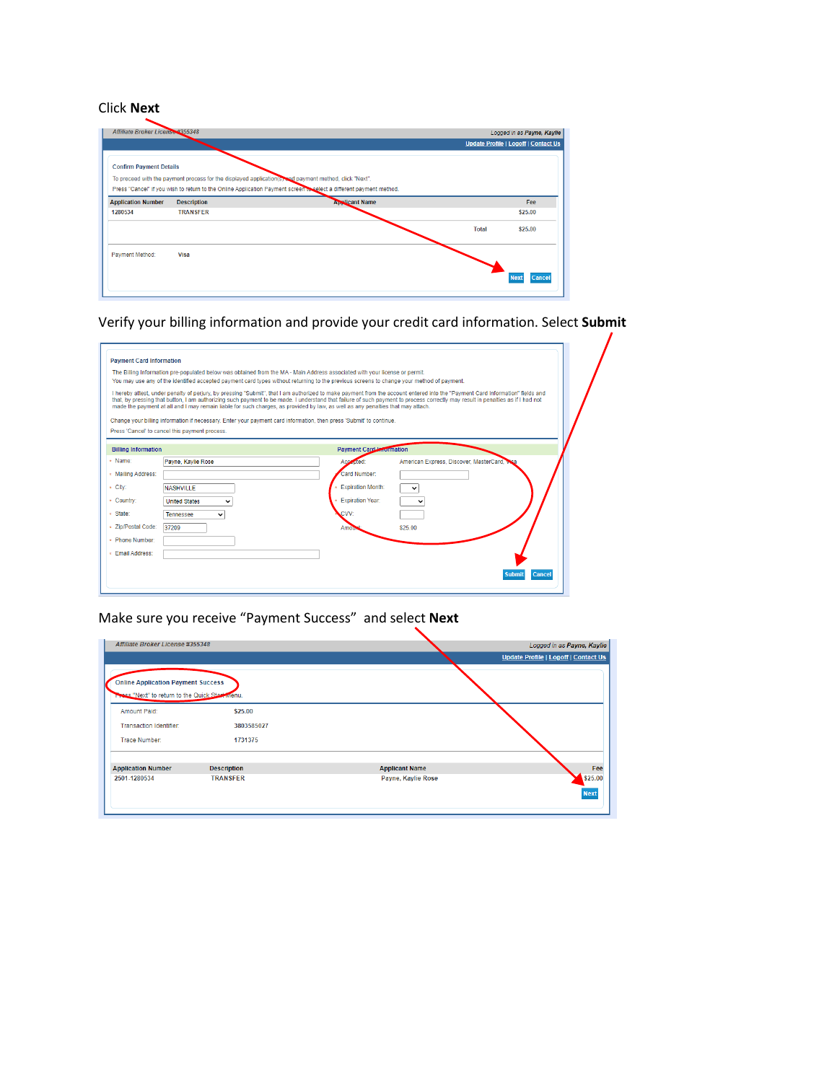#### Click **Next**

| Affiliate Broker License #355348 |                    |                                                                                                                     |              | Logged in as Payne, Kaylie           |
|----------------------------------|--------------------|---------------------------------------------------------------------------------------------------------------------|--------------|--------------------------------------|
|                                  |                    |                                                                                                                     |              | Update Profile   Logoff   Contact Us |
| <b>Confirm Payment Details</b>   |                    |                                                                                                                     |              |                                      |
|                                  |                    |                                                                                                                     |              |                                      |
|                                  |                    | To proceed with the payment process for the displayed application(s) and payment method, click "Next".              |              |                                      |
|                                  |                    | Press "Cancel" if you wish to return to the Online Application Payment screen to select a different payment method. |              |                                      |
| <b>Application Number</b>        | <b>Description</b> | <b>Applicant Name</b>                                                                                               |              | Fee                                  |
| 1280534                          | <b>TRANSFER</b>    |                                                                                                                     |              | \$25.00                              |
|                                  |                    |                                                                                                                     | <b>Total</b> | \$25.00                              |
| Payment Method:                  | Visa               |                                                                                                                     |              |                                      |
|                                  |                    |                                                                                                                     |              |                                      |
|                                  |                    |                                                                                                                     |              | Cance<br><b>Nex</b>                  |
|                                  |                    |                                                                                                                     |              |                                      |

Verify your billing information and provide your credit card information. Select **Submit**

| The Billing Information pre-populated below was obtained from the MA - Main Address associated with your license or permit.<br>You may use any of the identified accepted payment card types without returning to the previous screens to change your method of payment.<br>I hereby attest, under penalty of perjury, by pressing "Submit", that I am authorized to make payment from the account entered into the "Payment Card Information" fields and<br>that, by pressing that button. I am authorizing such payment to be made. I understand that failure of such payment to process correctly may result in penalties as if I had not<br>made the payment at all and I may remain liable for such charges, as provided by law, as well as any penalties that may attach. |                                              |                                           |
|---------------------------------------------------------------------------------------------------------------------------------------------------------------------------------------------------------------------------------------------------------------------------------------------------------------------------------------------------------------------------------------------------------------------------------------------------------------------------------------------------------------------------------------------------------------------------------------------------------------------------------------------------------------------------------------------------------------------------------------------------------------------------------|----------------------------------------------|-------------------------------------------|
| Change your billing information if necessary. Enter your payment card information, then press 'Submit' to continue.<br>Press 'Cancel' to cancel this payment process.                                                                                                                                                                                                                                                                                                                                                                                                                                                                                                                                                                                                           |                                              |                                           |
| <b>Billing Information</b><br>» Name:<br>Payne, Kavlie Rose                                                                                                                                                                                                                                                                                                                                                                                                                                                                                                                                                                                                                                                                                                                     | <b>Payment Card Information</b><br>Accopted: | American Express, Discover, MasterCard, V |
| * Mailing Address:                                                                                                                                                                                                                                                                                                                                                                                                                                                                                                                                                                                                                                                                                                                                                              | Card Number:                                 |                                           |
| * City:<br><b>NASHVILLE</b>                                                                                                                                                                                                                                                                                                                                                                                                                                                                                                                                                                                                                                                                                                                                                     | <b>Expiration Month:</b>                     |                                           |
| * Country:<br><b>United States</b>                                                                                                                                                                                                                                                                                                                                                                                                                                                                                                                                                                                                                                                                                                                                              | <b>Expiration Year:</b>                      |                                           |
| * State:<br>Tennessee<br>v                                                                                                                                                                                                                                                                                                                                                                                                                                                                                                                                                                                                                                                                                                                                                      | CVV:                                         |                                           |
| * Zip/Postal Code:<br>37209                                                                                                                                                                                                                                                                                                                                                                                                                                                                                                                                                                                                                                                                                                                                                     | Amou                                         | \$25.00                                   |
| * Phone Number:                                                                                                                                                                                                                                                                                                                                                                                                                                                                                                                                                                                                                                                                                                                                                                 |                                              |                                           |
| * Email Address:                                                                                                                                                                                                                                                                                                                                                                                                                                                                                                                                                                                                                                                                                                                                                                |                                              |                                           |

## Make sure you receive "Payment Success" and select **Next**

| Affiliate Broker License #355348                                                             |                    |                       | Logged in as Payne, Kaylie           |
|----------------------------------------------------------------------------------------------|--------------------|-----------------------|--------------------------------------|
|                                                                                              |                    |                       | Update Profile   Logoff   Contact Us |
| <b>Online Application Payment Success</b><br>These "Next" to return to the Quick Start Menu. |                    |                       |                                      |
| <b>Amount Paid:</b>                                                                          | \$25.00            |                       |                                      |
| <b>Transaction Identifier:</b>                                                               | 3803585027         |                       |                                      |
| <b>Trace Number:</b>                                                                         | 1731375            |                       |                                      |
| <b>Application Number</b>                                                                    | <b>Description</b> | <b>Applicant Name</b> | Fee                                  |
| 2501-1280534                                                                                 | <b>TRANSFER</b>    | Payne, Kaylie Rose    | \$25.00<br><b>Next</b>               |

╲